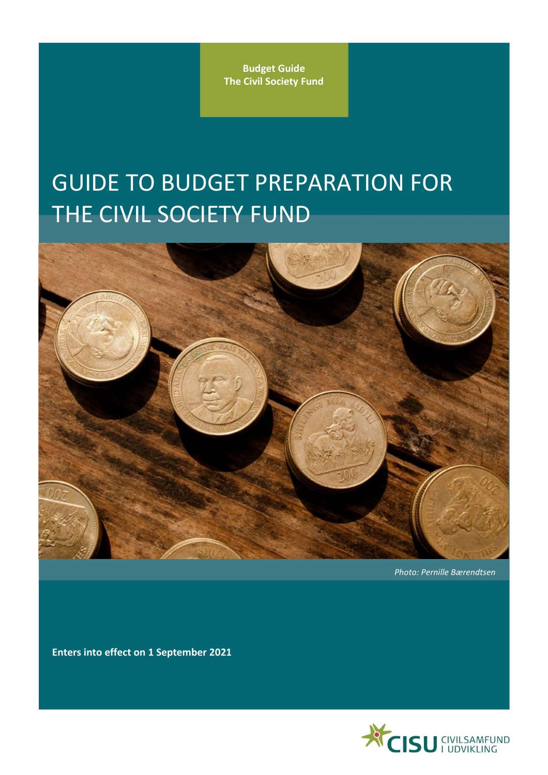**Budget Guide The Civil Society Fund**

# GUIDE TO BUDGET PREPARATION FOR THE CIVIL SOCIETY FUND



*Photo: Pernille Bærendtsen*

**Enters into effect on 1 September 2021**

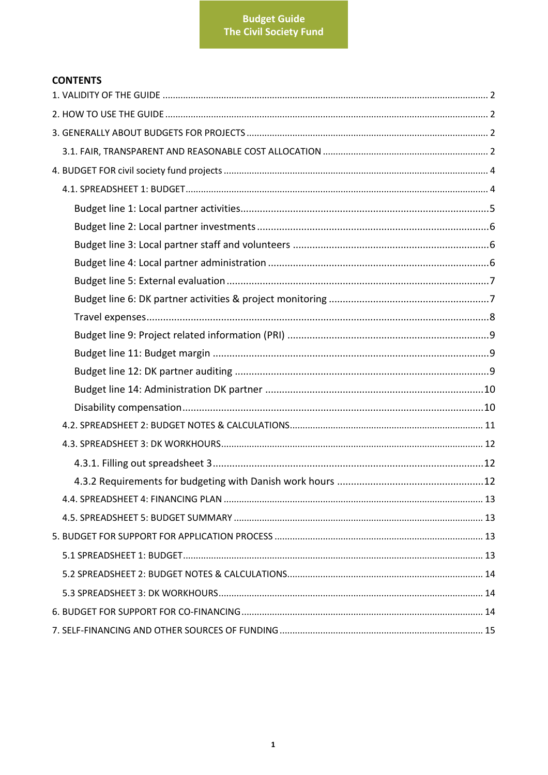# **CONTENTS**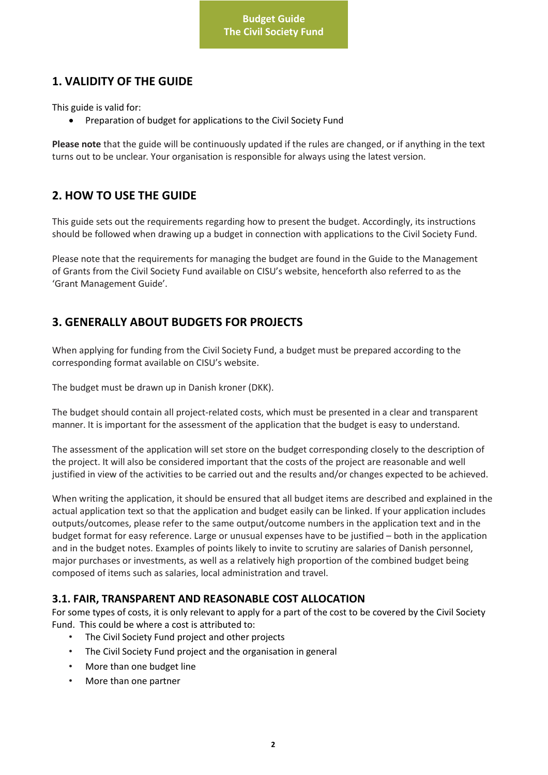# <span id="page-2-0"></span>**1. VALIDITY OF THE GUIDE**

This guide is valid for:

• Preparation of budget for applications to the Civil Society Fund

**Please note** that the guide will be continuously updated if the rules are changed, or if anything in the text turns out to be unclear. Your organisation is responsible for always using the latest version.

# <span id="page-2-1"></span>**2. HOW TO USE THE GUIDE**

This guide sets out the requirements regarding how to present the budget. Accordingly, its instructions should be followed when drawing up a budget in connection with applications to the Civil Society Fund.

Please note that the requirements for managing the budget are found in the Guide to the Management of Grants from the Civil Society Fund available on CISU's website, henceforth also referred to as the 'Grant Management Guide'.

# <span id="page-2-2"></span>**3. GENERALLY ABOUT BUDGETS FOR PROJECTS**

When applying for funding from the Civil Society Fund, a budget must be prepared according to the corresponding format available on CISU's website.

The budget must be drawn up in Danish kroner (DKK).

The budget should contain all project-related costs, which must be presented in a clear and transparent manner. It is important for the assessment of the application that the budget is easy to understand.

The assessment of the application will set store on the budget corresponding closely to the description of the project. It will also be considered important that the costs of the project are reasonable and well justified in view of the activities to be carried out and the results and/or changes expected to be achieved.

When writing the application, it should be ensured that all budget items are described and explained in the actual application text so that the application and budget easily can be linked. If your application includes outputs/outcomes, please refer to the same output/outcome numbers in the application text and in the budget format for easy reference. Large or unusual expenses have to be justified – both in the application and in the budget notes. Examples of points likely to invite to scrutiny are salaries of Danish personnel, major purchases or investments, as well as a relatively high proportion of the combined budget being composed of items such as salaries, local administration and travel.

## <span id="page-2-3"></span>**3.1. FAIR, TRANSPARENT AND REASONABLE COST ALLOCATION**

For some types of costs, it is only relevant to apply for a part of the cost to be covered by the Civil Society Fund. This could be where a cost is attributed to:

- The Civil Society Fund project and other projects
- The Civil Society Fund project and the organisation in general
- More than one budget line
- More than one partner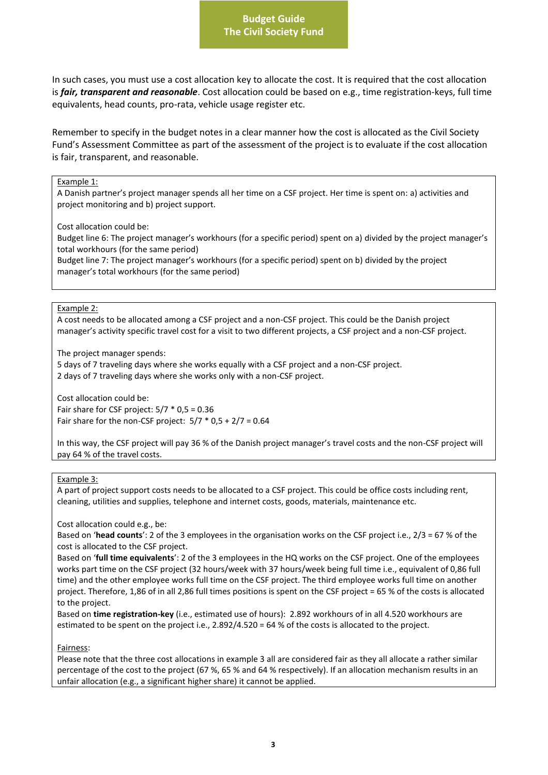## **Budget Guide The Civil Society Fund**

In such cases, you must use a cost allocation key to allocate the cost. It is required that the cost allocation is *fair, transparent and reasonable*. Cost allocation could be based on e.g., time registration-keys, full time equivalents, head counts, pro-rata, vehicle usage register etc.

Remember to specify in the budget notes in a clear manner how the cost is allocated as the Civil Society Fund's Assessment Committee as part of the assessment of the project is to evaluate if the cost allocation is fair, transparent, and reasonable.

#### Example 1:

A Danish partner's project manager spends all her time on a CSF project. Her time is spent on: a) activities and project monitoring and b) project support.

Cost allocation could be:

Budget line 6: The project manager's workhours (for a specific period) spent on a) divided by the project manager's total workhours (for the same period)

Budget line 7: The project manager's workhours (for a specific period) spent on b) divided by the project manager's total workhours (for the same period)

#### Example 2:

A cost needs to be allocated among a CSF project and a non-CSF project. This could be the Danish project manager's activity specific travel cost for a visit to two different projects, a CSF project and a non-CSF project.

The project manager spends:

5 days of 7 traveling days where she works equally with a CSF project and a non-CSF project. 2 days of 7 traveling days where she works only with a non-CSF project.

Cost allocation could be: Fair share for CSF project:  $5/7 * 0.5 = 0.36$ Fair share for the non-CSF project:  $5/7 * 0.5 + 2/7 = 0.64$ 

In this way, the CSF project will pay 36 % of the Danish project manager's travel costs and the non-CSF project will pay 64 % of the travel costs.

#### Example 3:

A part of project support costs needs to be allocated to a CSF project. This could be office costs including rent, cleaning, utilities and supplies, telephone and internet costs, goods, materials, maintenance etc.

Cost allocation could e.g., be:

Based on '**head counts**': 2 of the 3 employees in the organisation works on the CSF project i.e., 2/3 = 67 % of the cost is allocated to the CSF project.

Based on '**full time equivalents**': 2 of the 3 employees in the HQ works on the CSF project. One of the employees works part time on the CSF project (32 hours/week with 37 hours/week being full time i.e., equivalent of 0,86 full time) and the other employee works full time on the CSF project. The third employee works full time on another project. Therefore, 1,86 of in all 2,86 full times positions is spent on the CSF project = 65 % of the costs is allocated to the project.

Based on **time registration-key** (i.e., estimated use of hours): 2.892 workhours of in all 4.520 workhours are estimated to be spent on the project i.e., 2.892/4.520 = 64 % of the costs is allocated to the project.

Fairness:

Please note that the three cost allocations in example 3 all are considered fair as they all allocate a rather similar percentage of the cost to the project (67 %, 65 % and 64 % respectively). If an allocation mechanism results in an unfair allocation (e.g., a significant higher share) it cannot be applied.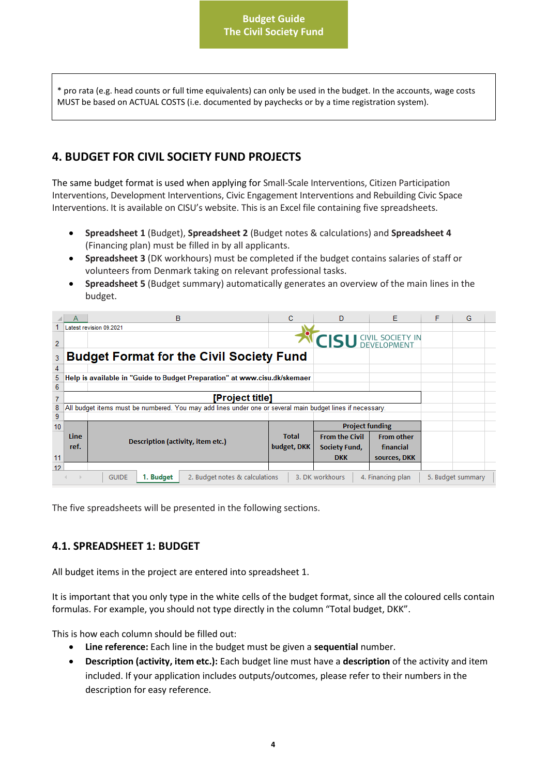**Budget Guide The Civil Society Fund**

\* pro rata (e.g. head counts or full time equivalents) can only be used in the budget. In the accounts, wage costs MUST be based on ACTUAL COSTS (i.e. documented by paychecks or by a time registration system).

# <span id="page-4-0"></span>**4. BUDGET FOR CIVIL SOCIETY FUND PROJECTS**

The same budget format is used when applying for Small-Scale Interventions, Citizen Participation Interventions, Development Interventions, Civic Engagement Interventions and Rebuilding Civic Space Interventions. It is available on CISU's website. This is an Excel file containing five spreadsheets.

- **Spreadsheet 1** (Budget), **Spreadsheet 2** (Budget notes & calculations) and **Spreadsheet 4** (Financing plan) must be filled in by all applicants.
- **Spreadsheet 3** (DK workhours) must be completed if the budget contains salaries of staff or volunteers from Denmark taking on relevant professional tasks.
- **Spreadsheet 5** (Budget summary) automatically generates an overview of the main lines in the budget.

|                  |                                                                                                                          | в                                                                                                         | C            | D                            | E                 | F | G |  |
|------------------|--------------------------------------------------------------------------------------------------------------------------|-----------------------------------------------------------------------------------------------------------|--------------|------------------------------|-------------------|---|---|--|
|                  |                                                                                                                          | Latest revision 09.2021                                                                                   |              |                              |                   |   |   |  |
| 2                |                                                                                                                          |                                                                                                           |              | <b>CISU GIVIL SOCIETY IN</b> |                   |   |   |  |
| 3                |                                                                                                                          | <b>Budget Format for the Civil Society Fund</b>                                                           |              |                              |                   |   |   |  |
| 4                |                                                                                                                          |                                                                                                           |              |                              |                   |   |   |  |
| 5                |                                                                                                                          | Help is available in "Guide to Budget Preparation" at www.cisu.dk/skemaer                                 |              |                              |                   |   |   |  |
| 6                |                                                                                                                          |                                                                                                           |              |                              |                   |   |   |  |
| $\overline{7}$   |                                                                                                                          | [Project title]                                                                                           |              |                              |                   |   |   |  |
| 8                |                                                                                                                          | All budget items must be numbered. You may add lines under one or several main budget lines if necessary. |              |                              |                   |   |   |  |
| 9                |                                                                                                                          |                                                                                                           |              |                              |                   |   |   |  |
| 10 <sup>10</sup> |                                                                                                                          |                                                                                                           |              | <b>Project funding</b>       |                   |   |   |  |
|                  | Line                                                                                                                     |                                                                                                           | <b>Total</b> | <b>From the Civil</b>        | <b>From other</b> |   |   |  |
|                  | ref.                                                                                                                     | Description (activity, item etc.)                                                                         | budget, DKK  | <b>Society Fund,</b>         | financial         |   |   |  |
| 11               |                                                                                                                          |                                                                                                           |              | <b>DKK</b>                   | sources, DKK      |   |   |  |
| 12 <sub>2</sub>  |                                                                                                                          |                                                                                                           |              |                              |                   |   |   |  |
|                  | 3. DK workhours<br>1. Budget<br>2. Budget notes & calculations<br>4. Financing plan<br><b>GUIDE</b><br>5. Budget summary |                                                                                                           |              |                              |                   |   |   |  |

The five spreadsheets will be presented in the following sections.

## <span id="page-4-1"></span>**4.1. SPREADSHEET 1: BUDGET**

All budget items in the project are entered into spreadsheet 1.

It is important that you only type in the white cells of the budget format, since all the coloured cells contain formulas. For example, you should not type directly in the column "Total budget, DKK".

This is how each column should be filled out:

- **Line reference:** Each line in the budget must be given a **sequential** number.
- **Description (activity, item etc.):** Each budget line must have a **description** of the activity and item included. If your application includes outputs/outcomes, please refer to their numbers in the description for easy reference.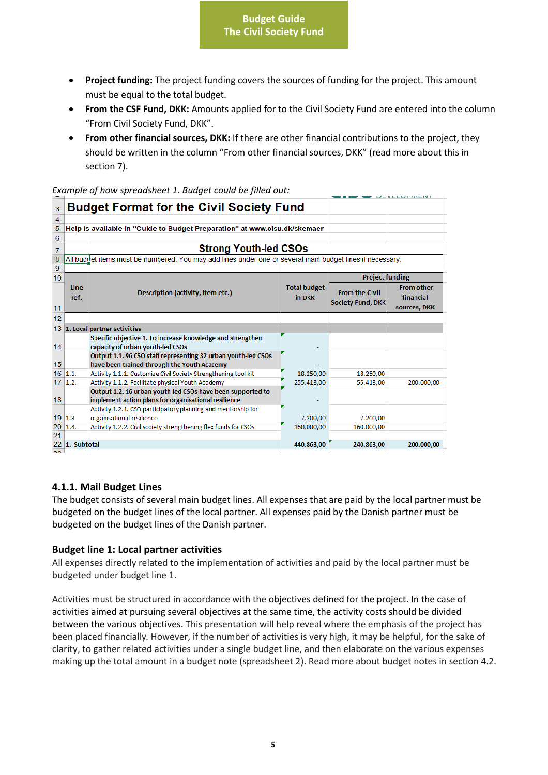- **Project funding:** The project funding covers the sources of funding for the project. This amount must be equal to the total budget.
- **From the CSF Fund, DKK:** Amounts applied for to the Civil Society Fund are entered into the column "From Civil Society Fund, DKK".
- **From other financial sources, DKK:** If there are other financial contributions to the project, they should be written in the column "From other financial sources, DKK" (read more about this in section 7).

*Example of how spreadsheet 1. Budget could be filled out:* 

|                  |                                                 |                                                                                                           |                     |                          | <b>ULVLLUTIVILIVI</b> |  |  |  |
|------------------|-------------------------------------------------|-----------------------------------------------------------------------------------------------------------|---------------------|--------------------------|-----------------------|--|--|--|
| 3                | <b>Budget Format for the Civil Society Fund</b> |                                                                                                           |                     |                          |                       |  |  |  |
| 4                |                                                 |                                                                                                           |                     |                          |                       |  |  |  |
| 5                |                                                 | Help is available in "Guide to Budget Preparation" at www.cisu.dk/skemaer                                 |                     |                          |                       |  |  |  |
| 6                |                                                 |                                                                                                           |                     |                          |                       |  |  |  |
| $\overline{7}$   |                                                 | <b>Strong Youth-led CSOs</b>                                                                              |                     |                          |                       |  |  |  |
| 8                |                                                 | All buddet items must be numbered. You may add lines under one or several main budget lines if necessary. |                     |                          |                       |  |  |  |
| $\mathbf{Q}$     |                                                 |                                                                                                           |                     |                          |                       |  |  |  |
| 10 <sup>10</sup> |                                                 |                                                                                                           |                     | <b>Project funding</b>   |                       |  |  |  |
|                  | Line                                            |                                                                                                           | <b>Total budget</b> | <b>From the Civil</b>    | <b>From other</b>     |  |  |  |
|                  | ref.                                            | Description (activity, item etc.)                                                                         | in DKK              |                          | financial             |  |  |  |
| 11               |                                                 |                                                                                                           |                     | <b>Society Fund, DKK</b> | sources, DKK          |  |  |  |
| 12               |                                                 |                                                                                                           |                     |                          |                       |  |  |  |
|                  |                                                 | 13 1. Local partner activities                                                                            |                     |                          |                       |  |  |  |
|                  |                                                 | Specific objective 1. To increase knowledge and strengthen                                                |                     |                          |                       |  |  |  |
| 14               |                                                 | capacity of urban youth-led CSOs                                                                          |                     |                          |                       |  |  |  |
|                  |                                                 | Output 1.1. 96 CSO staff representing 32 urban youth-led CSOs                                             |                     |                          |                       |  |  |  |
| 15               |                                                 | have been trained through the Youth Acacemy                                                               |                     |                          |                       |  |  |  |
|                  | $16$ 1.1.                                       | Activity 1.1.1. Customize Civil Society Strengthening tool kit                                            | 18.250,00           | 18.250,00                |                       |  |  |  |
|                  | $17 \vert 1.2.$                                 | Activity 1.1.2. Facilitate physical Youth Academy                                                         | 255.413,00          | 55.413,00                | 200.000.00            |  |  |  |
|                  |                                                 | Output 1.2. 16 urban youth-led CSOs have been supported to                                                |                     |                          |                       |  |  |  |
| 18               |                                                 | implement action plans for organisational resilience                                                      |                     |                          |                       |  |  |  |
|                  |                                                 | Activity 1.2.1. CSO participatory planning and mentorship for                                             |                     |                          |                       |  |  |  |
|                  | 19 1.3                                          | organisational resilience                                                                                 | 7.200,00            | 7.200,00                 |                       |  |  |  |
| 20               | 1.4.                                            | Activity 1.2.2. Civil society strengthening flex funds for CSOs                                           | 160.000,00          | 160.000,00               |                       |  |  |  |
| 21               |                                                 |                                                                                                           |                     |                          |                       |  |  |  |
| nn.              | 22 1. Subtotal                                  |                                                                                                           | 440.863,00          | 240.863,00               | 200.000,00            |  |  |  |
|                  |                                                 |                                                                                                           |                     |                          |                       |  |  |  |

#### **4.1.1. Mail Budget Lines**

The budget consists of several main budget lines. All expenses that are paid by the local partner must be budgeted on the budget lines of the local partner. All expenses paid by the Danish partner must be budgeted on the budget lines of the Danish partner.

#### <span id="page-5-0"></span>**Budget line 1: Local partner activities**

All expenses directly related to the implementation of activities and paid by the local partner must be budgeted under budget line 1.

Activities must be structured in accordance with the objectives defined for the project. In the case of activities aimed at pursuing several objectives at the same time, the activity costs should be divided between the various objectives. This presentation will help reveal where the emphasis of the project has been placed financially. However, if the number of activities is very high, it may be helpful, for the sake of clarity, to gather related activities under a single budget line, and then elaborate on the various expenses making up the total amount in a budget note (spreadsheet 2). Read more about budget notes in section 4.2.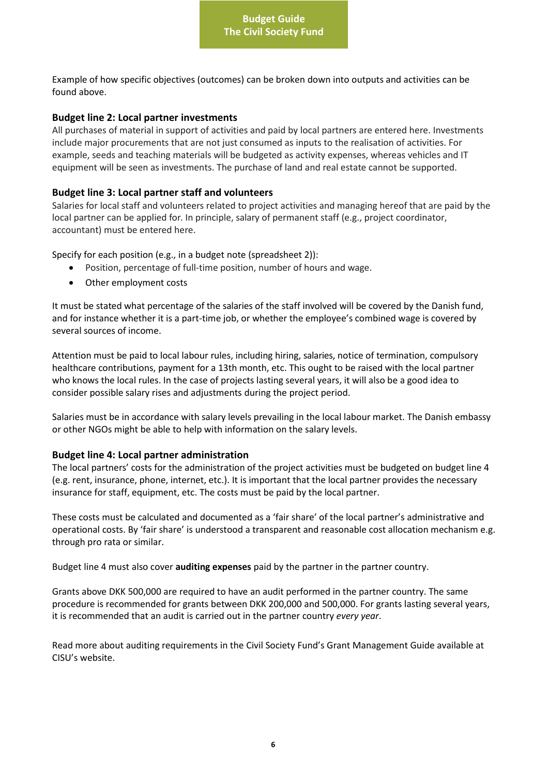Example of how specific objectives (outcomes) can be broken down into outputs and activities can be found above.

#### <span id="page-6-0"></span>**Budget line 2: Local partner investments**

All purchases of material in support of activities and paid by local partners are entered here. Investments include major procurements that are not just consumed as inputs to the realisation of activities. For example, seeds and teaching materials will be budgeted as activity expenses, whereas vehicles and IT equipment will be seen as investments. The purchase of land and real estate cannot be supported.

#### <span id="page-6-1"></span>**Budget line 3: Local partner staff and volunteers**

Salaries for local staff and volunteers related to project activities and managing hereof that are paid by the local partner can be applied for. In principle, salary of permanent staff (e.g., project coordinator, accountant) must be entered here.

Specify for each position (e.g., in a budget note (spreadsheet 2)):

- Position, percentage of full-time position, number of hours and wage.
- Other employment costs

It must be stated what percentage of the salaries of the staff involved will be covered by the Danish fund, and for instance whether it is a part-time job, or whether the employee's combined wage is covered by several sources of income.

Attention must be paid to local labour rules, including hiring, salaries, notice of termination, compulsory healthcare contributions, payment for a 13th month, etc. This ought to be raised with the local partner who knows the local rules. In the case of projects lasting several years, it will also be a good idea to consider possible salary rises and adjustments during the project period.

Salaries must be in accordance with salary levels prevailing in the local labour market. The Danish embassy or other NGOs might be able to help with information on the salary levels.

#### <span id="page-6-2"></span>**Budget line 4: Local partner administration**

The local partners' costs for the administration of the project activities must be budgeted on budget line 4 (e.g. rent, insurance, phone, internet, etc.). It is important that the local partner provides the necessary insurance for staff, equipment, etc. The costs must be paid by the local partner.

These costs must be calculated and documented as a 'fair share' of the local partner's administrative and operational costs. By 'fair share' is understood a transparent and reasonable cost allocation mechanism e.g. through pro rata or similar.

Budget line 4 must also cover **auditing expenses** paid by the partner in the partner country.

Grants above DKK 500,000 are required to have an audit performed in the partner country. The same procedure is recommended for grants between DKK 200,000 and 500,000. For grants lasting several years, it is recommended that an audit is carried out in the partner country *every year*.

Read more about auditing requirements in the Civil Society Fund's Grant Management Guide available at CISU's website.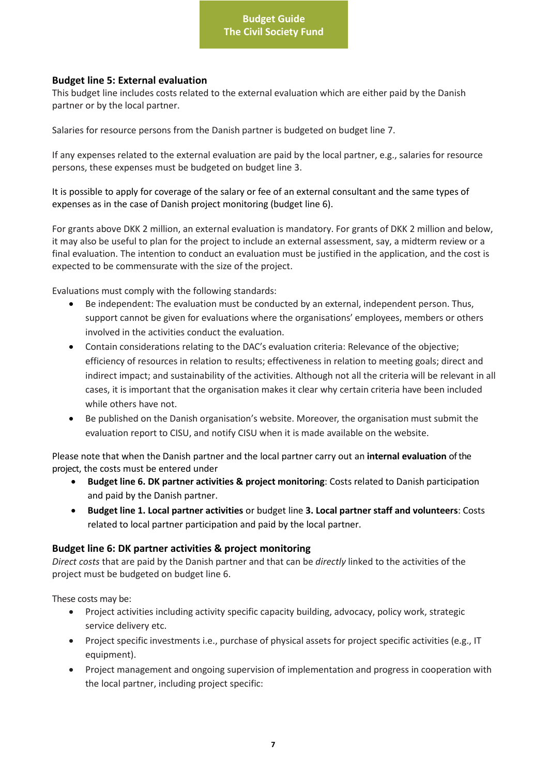#### <span id="page-7-0"></span>**Budget line 5: External evaluation**

This budget line includes costs related to the external evaluation which are either paid by the Danish partner or by the local partner.

Salaries for resource persons from the Danish partner is budgeted on budget line 7.

If any expenses related to the external evaluation are paid by the local partner, e.g., salaries for resource persons, these expenses must be budgeted on budget line 3.

It is possible to apply for coverage of the salary or fee of an external consultant and the same types of expenses as in the case of Danish project monitoring (budget line 6).

For grants above DKK 2 million, an external evaluation is mandatory. For grants of DKK 2 million and below, it may also be useful to plan for the project to include an external assessment, say, a midterm review or a final evaluation. The intention to conduct an evaluation must be justified in the application, and the cost is expected to be commensurate with the size of the project.

Evaluations must comply with the following standards:

- Be independent: The evaluation must be conducted by an external, independent person. Thus, support cannot be given for evaluations where the organisations' employees, members or others involved in the activities conduct the evaluation.
- Contain considerations relating to the DAC's evaluation criteria: Relevance of the objective; efficiency of resources in relation to results; effectiveness in relation to meeting goals; direct and indirect impact; and sustainability of the activities. Although not all the criteria will be relevant in all cases, it is important that the organisation makes it clear why certain criteria have been included while others have not.
- Be published on the Danish organisation's website. Moreover, the organisation must submit the evaluation report to CISU, and notify CISU when it is made available on the website.

Please note that when the Danish partner and the local partner carry out an **internal evaluation** of the project, the costs must be entered under

- **Budget line 6. DK partner activities & project monitoring**: Costs related to Danish participation and paid by the Danish partner.
- **Budget line 1. Local partner activities** or budget line **3. Local partner staff and volunteers**: Costs related to local partner participation and paid by the local partner.

#### <span id="page-7-1"></span>**Budget line 6: DK partner activities & project monitoring**

*Direct costs* that are paid by the Danish partner and that can be *directly* linked to the activities of the project must be budgeted on budget line 6.

These costs may be:

- Project activities including activity specific capacity building, advocacy, policy work, strategic service delivery etc.
- Project specific investments i.e., purchase of physical assets for project specific activities (e.g., IT equipment).
- Project management and ongoing supervision of implementation and progress in cooperation with the local partner, including project specific: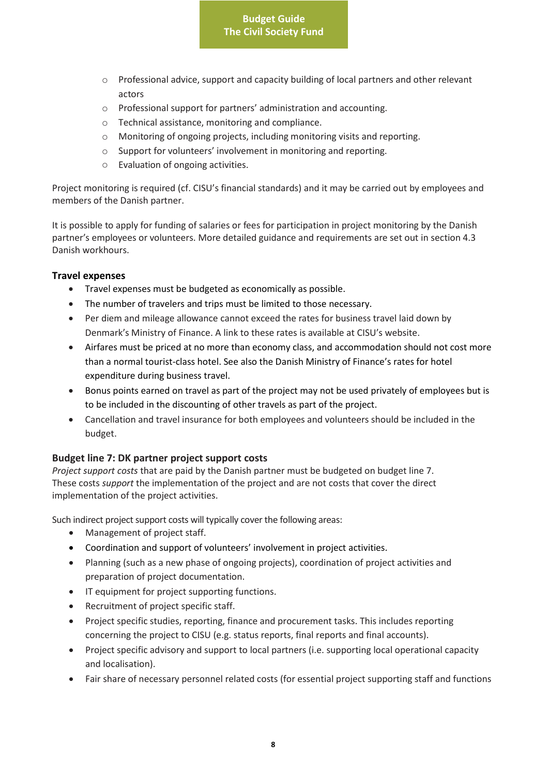- o Professional advice, support and capacity building of local partners and other relevant actors
- o Professional support for partners' administration and accounting.
- o Technical assistance, monitoring and compliance.
- o Monitoring of ongoing projects, including monitoring visits and reporting.
- o Support for volunteers' involvement in monitoring and reporting.
- o Evaluation of ongoing activities.

Project monitoring is required (cf. CISU's financial standards) and it may be carried out by employees and members of the Danish partner.

It is possible to apply for funding of salaries or fees for participation in project monitoring by the Danish partner's employees or volunteers. More detailed guidance and requirements are set out in section 4.3 Danish workhours.

#### <span id="page-8-0"></span>**Travel expenses**

- Travel expenses must be budgeted as economically as possible.
- The number of travelers and trips must be limited to those necessary.
- Per diem and mileage allowance cannot exceed the rates for business travel laid down by Denmark's Ministry of Finance. A link to these rates is available at CISU's website.
- Airfares must be priced at no more than economy class, and accommodation should not cost more than a normal tourist-class hotel. See also the Danish Ministry of Finance's rates for hotel expenditure during business travel.
- Bonus points earned on travel as part of the project may not be used privately of employees but is to be included in the discounting of other travels as part of the project.
- Cancellation and travel insurance for both employees and volunteers should be included in the budget.

## **Budget line 7: DK partner project support costs**

*Project support costs* that are paid by the Danish partner must be budgeted on budget line 7. These costs *support* the implementation of the project and are not costs that cover the direct implementation of the project activities.

Such indirect project support costs will typically cover the following areas:

- Management of project staff.
- Coordination and support of volunteers' involvement in project activities.
- Planning (such as a new phase of ongoing projects), coordination of project activities and preparation of project documentation.
- IT equipment for project supporting functions.
- Recruitment of project specific staff.
- Project specific studies, reporting, finance and procurement tasks. This includes reporting concerning the project to CISU (e.g. status reports, final reports and final accounts).
- Project specific advisory and support to local partners (i.e. supporting local operational capacity and localisation).
- Fair share of necessary personnel related costs (for essential project supporting staff and functions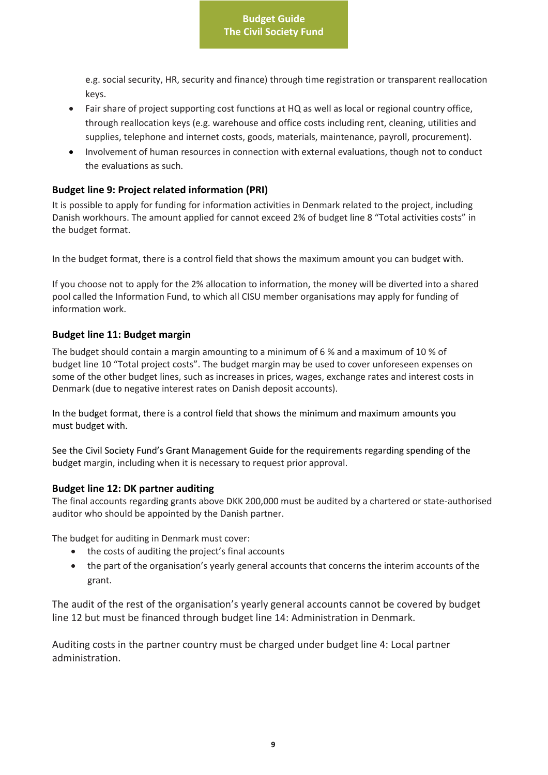e.g. social security, HR, security and finance) through time registration or transparent reallocation keys.

- Fair share of project supporting cost functions at HQ as well as local or regional country office, through reallocation keys (e.g. warehouse and office costs including rent, cleaning, utilities and supplies, telephone and internet costs, goods, materials, maintenance, payroll, procurement).
- Involvement of human resources in connection with external evaluations, though not to conduct the evaluations as such.

#### <span id="page-9-0"></span>**Budget line 9: Project related information (PRI)**

It is possible to apply for funding for information activities in Denmark related to the project, including Danish workhours. The amount applied for cannot exceed 2% of budget line 8 "Total activities costs" in the budget format.

In the budget format, there is a control field that shows the maximum amount you can budget with.

If you choose not to apply for the 2% allocation to information, the money will be diverted into a shared pool called the Information Fund, to which all CISU member organisations may apply for funding of information work.

#### <span id="page-9-1"></span>**Budget line 11: Budget margin**

The budget should contain a margin amounting to a minimum of 6 % and a maximum of 10 % of budget line 10 "Total project costs". The budget margin may be used to cover unforeseen expenses on some of the other budget lines, such as increases in prices, wages, exchange rates and interest costs in Denmark (due to negative interest rates on Danish deposit accounts).

In the budget format, there is a control field that shows the minimum and maximum amounts you must budget with.

See the Civil Society Fund's Grant Management Guide for the requirements regarding spending of the budget margin, including when it is necessary to request prior approval.

#### <span id="page-9-2"></span>**Budget line 12: DK partner auditing**

The final accounts regarding grants above DKK 200,000 must be audited by a chartered or state-authorised auditor who should be appointed by the Danish partner.

The budget for auditing in Denmark must cover:

- the costs of auditing the project's final accounts
- the part of the organisation's yearly general accounts that concerns the interim accounts of the grant.

The audit of the rest of the organisation's yearly general accounts cannot be covered by budget line 12 but must be financed through budget line 14: Administration in Denmark.

Auditing costs in the partner country must be charged under budget line 4: Local partner administration.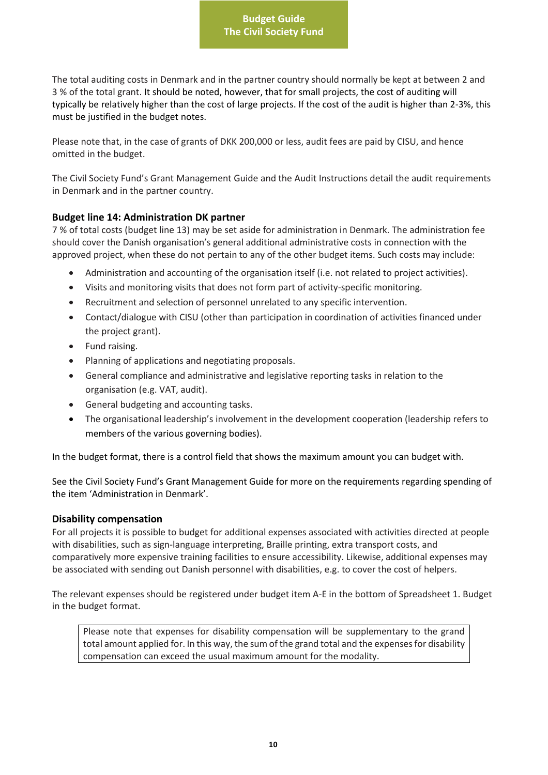The total auditing costs in Denmark and in the partner country should normally be kept at between 2 and 3 % of the total grant. It should be noted, however, that for small projects, the cost of auditing will typically be relatively higher than the cost of large projects. If the cost of the audit is higher than 2-3%, this must be justified in the budget notes.

Please note that, in the case of grants of DKK 200,000 or less, audit fees are paid by CISU, and hence omitted in the budget.

The Civil Society Fund's Grant Management Guide and the Audit Instructions detail the audit requirements in Denmark and in the partner country.

#### <span id="page-10-0"></span>**Budget line 14: Administration DK partner**

7 % of total costs (budget line 13) may be set aside for administration in Denmark. The administration fee should cover the Danish organisation's general additional administrative costs in connection with the approved project, when these do not pertain to any of the other budget items. Such costs may include:

- Administration and accounting of the organisation itself (i.e. not related to project activities).
- Visits and monitoring visits that does not form part of activity-specific monitoring.
- Recruitment and selection of personnel unrelated to any specific intervention.
- Contact/dialogue with CISU (other than participation in coordination of activities financed under the project grant).
- Fund raising.
- Planning of applications and negotiating proposals.
- General compliance and administrative and legislative reporting tasks in relation to the organisation (e.g. VAT, audit).
- General budgeting and accounting tasks.
- The organisational leadership's involvement in the development cooperation (leadership refers to members of the various governing bodies).

In the budget format, there is a control field that shows the maximum amount you can budget with.

See the Civil Society Fund's Grant Management Guide for more on the requirements regarding spending of the item 'Administration in Denmark'.

#### <span id="page-10-1"></span>**Disability compensation**

For all projects it is possible to budget for additional expenses associated with activities directed at people with disabilities, such as sign-language interpreting, Braille printing, extra transport costs, and comparatively more expensive training facilities to ensure accessibility. Likewise, additional expenses may be associated with sending out Danish personnel with disabilities, e.g. to cover the cost of helpers.

The relevant expenses should be registered under budget item A-E in the bottom of Spreadsheet 1. Budget in the budget format.

Please note that expenses for disability compensation will be supplementary to the grand total amount applied for. In this way, the sum of the grand total and the expenses for disability compensation can exceed the usual maximum amount for the modality.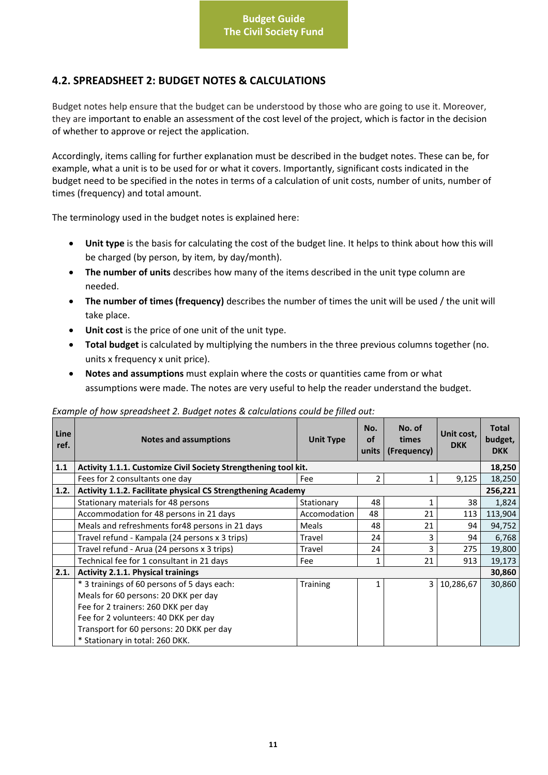# <span id="page-11-0"></span>**4.2. SPREADSHEET 2: BUDGET NOTES & CALCULATIONS**

Budget notes help ensure that the budget can be understood by those who are going to use it. Moreover, they are important to enable an assessment of the cost level of the project, which is factor in the decision of whether to approve or reject the application.

Accordingly, items calling for further explanation must be described in the budget notes. These can be, for example, what a unit is to be used for or what it covers. Importantly, significant costs indicated in the budget need to be specified in the notes in terms of a calculation of unit costs, number of units, number of times (frequency) and total amount.

The terminology used in the budget notes is explained here:

- **Unit type** is the basis for calculating the cost of the budget line. It helps to think about how this will be charged (by person, by item, by day/month).
- **The number of units** describes how many of the items described in the unit type column are needed.
- **The number of times (frequency)** describes the number of times the unit will be used / the unit will take place.
- Unit cost is the price of one unit of the unit type.
- **Total budget** is calculated by multiplying the numbers in the three previous columns together (no. units x frequency x unit price).
- **Notes and assumptions** must explain where the costs or quantities came from or what assumptions were made. The notes are very useful to help the reader understand the budget.

#### *Example of how spreadsheet 2. Budget notes & calculations could be filled out:*

| <b>Line</b><br>ref. | <b>Notes and assumptions</b>                                    | <b>Unit Type</b> | No.<br><b>of</b><br>units | No. of<br>times<br>(Frequency) | Unit cost,<br><b>DKK</b> | <b>Total</b><br>budget,<br><b>DKK</b> |
|---------------------|-----------------------------------------------------------------|------------------|---------------------------|--------------------------------|--------------------------|---------------------------------------|
| $1.1$               | Activity 1.1.1. Customize Civil Society Strengthening tool kit. |                  |                           |                                |                          | 18,250                                |
|                     | Fees for 2 consultants one day                                  | Fee              | $\overline{2}$            | 1                              | 9,125                    | 18,250                                |
| 1.2.                | Activity 1.1.2. Facilitate physical CS Strengthening Academy    |                  |                           |                                |                          | 256,221                               |
|                     | Stationary materials for 48 persons                             | Stationary       | 48                        |                                | 38                       | 1,824                                 |
|                     | Accommodation for 48 persons in 21 days                         | Accomodation     | 48                        | 21                             | 113                      | 113,904                               |
|                     | Meals and refreshments for 48 persons in 21 days                | Meals            | 48                        | 21                             | 94                       | 94,752                                |
|                     | Travel refund - Kampala (24 persons x 3 trips)                  | Travel           | 24                        | 3                              | 94                       | 6,768                                 |
|                     | Travel refund - Arua (24 persons x 3 trips)                     | Travel           | 24                        | 3                              | 275                      | 19,800                                |
|                     | Technical fee for 1 consultant in 21 days                       | Fee              | 1                         | 21                             | 913                      | 19,173                                |
| 2.1.                | <b>Activity 2.1.1. Physical trainings</b>                       |                  |                           |                                |                          | 30,860                                |
|                     | * 3 trainings of 60 persons of 5 days each:                     | Training         | 1                         | 3                              | 10,286,67                | 30,860                                |
|                     | Meals for 60 persons: 20 DKK per day                            |                  |                           |                                |                          |                                       |
|                     | Fee for 2 trainers: 260 DKK per day                             |                  |                           |                                |                          |                                       |
|                     | Fee for 2 volunteers: 40 DKK per day                            |                  |                           |                                |                          |                                       |
|                     | Transport for 60 persons: 20 DKK per day                        |                  |                           |                                |                          |                                       |
|                     | * Stationary in total: 260 DKK.                                 |                  |                           |                                |                          |                                       |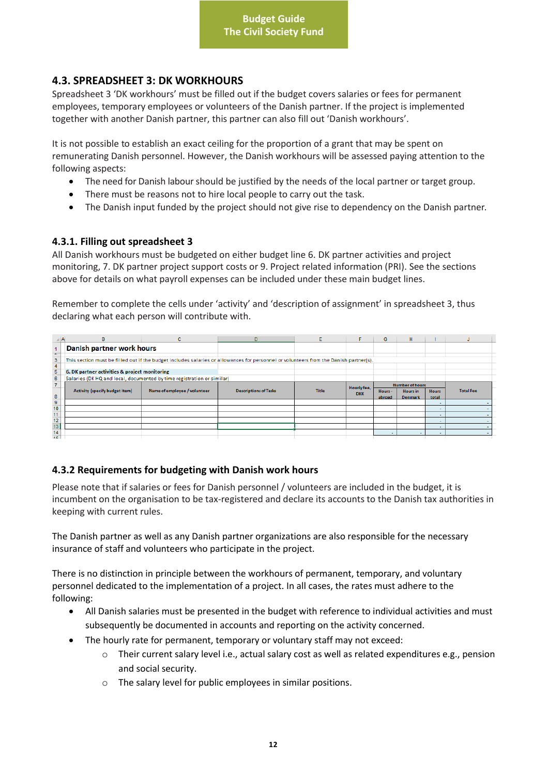## <span id="page-12-0"></span>**4.3. SPREADSHEET 3: DK WORKHOURS**

Spreadsheet 3 'DK workhours' must be filled out if the budget covers salaries or fees for permanent employees, temporary employees or volunteers of the Danish partner. If the project is implemented together with another Danish partner, this partner can also fill out 'Danish workhours'.

It is not possible to establish an exact ceiling for the proportion of a grant that may be spent on remunerating Danish personnel. However, the Danish workhours will be assessed paying attention to the following aspects:

- The need for Danish labour should be justified by the needs of the local partner or target group.
- There must be reasons not to hire local people to carry out the task.
- The Danish input funded by the project should not give rise to dependency on the Danish partner.

## <span id="page-12-1"></span>**4.3.1. Filling out spreadsheet 3**

All Danish workhours must be budgeted on either budget line 6. DK partner activities and project monitoring, 7. DK partner project support costs or 9. Project related information (PRI). See the sections above for details on what payroll expenses can be included under these main budget lines.

Remember to complete the cells under 'activity' and 'description of assignment' in spreadsheet 3, thus declaring what each person will contribute with.

|                | B                                             | c                                                                      | D                                                                                                                                     |              |             | G                      | H                        |              |                  |
|----------------|-----------------------------------------------|------------------------------------------------------------------------|---------------------------------------------------------------------------------------------------------------------------------------|--------------|-------------|------------------------|--------------------------|--------------|------------------|
| z.             | Danish partner work hours                     |                                                                        |                                                                                                                                       |              |             |                        |                          |              |                  |
| 3              |                                               |                                                                        | This section must be filled out if the budget includes salaries or allowances for personnel or volunteers from the Danish partner(s). |              |             |                        |                          |              |                  |
| $\overline{5}$ | 6. DK partner activities & project monitoring |                                                                        |                                                                                                                                       |              |             |                        |                          |              |                  |
| $\mathbf{6}$   |                                               | Salaries (DK HQ and local, documented by time registration or similar) |                                                                                                                                       |              |             |                        |                          |              |                  |
| $\overline{7}$ |                                               |                                                                        |                                                                                                                                       |              | Hourly fee, | <b>Number of hours</b> |                          |              |                  |
|                | Activity (specify budget item)                | Name of employee / volunteer                                           | <b>Descriptions of Tasks</b>                                                                                                          | <b>Title</b> | <b>DKK</b>  | Hours-                 | <b>Hours</b> in          | <b>Hours</b> | <b>Total Fee</b> |
| 8              |                                               |                                                                        |                                                                                                                                       |              |             | abroad                 | <b>Denmark</b>           | total        |                  |
| 9              |                                               |                                                                        |                                                                                                                                       |              |             |                        |                          |              |                  |
| 10             |                                               |                                                                        |                                                                                                                                       |              |             |                        |                          | ۰            |                  |
| 11             |                                               |                                                                        |                                                                                                                                       |              |             |                        |                          | $\sim$       |                  |
| 12             |                                               |                                                                        |                                                                                                                                       |              |             |                        |                          |              |                  |
| 13             |                                               |                                                                        |                                                                                                                                       |              |             |                        |                          |              |                  |
| 14             |                                               |                                                                        |                                                                                                                                       |              |             |                        | $\overline{\phantom{a}}$ |              |                  |
| $\frac{1}{45}$ |                                               |                                                                        |                                                                                                                                       |              |             |                        |                          |              |                  |

## <span id="page-12-2"></span>**4.3.2 Requirements for budgeting with Danish work hours**

Please note that if salaries or fees for Danish personnel / volunteers are included in the budget, it is incumbent on the organisation to be tax-registered and declare its accounts to the Danish tax authorities in keeping with current rules.

The Danish partner as well as any Danish partner organizations are also responsible for the necessary insurance of staff and volunteers who participate in the project.

There is no distinction in principle between the workhours of permanent, temporary, and voluntary personnel dedicated to the implementation of a project. In all cases, the rates must adhere to the following:

- All Danish salaries must be presented in the budget with reference to individual activities and must subsequently be documented in accounts and reporting on the activity concerned.
- The hourly rate for permanent, temporary or voluntary staff may not exceed:
	- o Their current salary level i.e., actual salary cost as well as related expenditures e.g., pension and social security.
	- o The salary level for public employees in similar positions.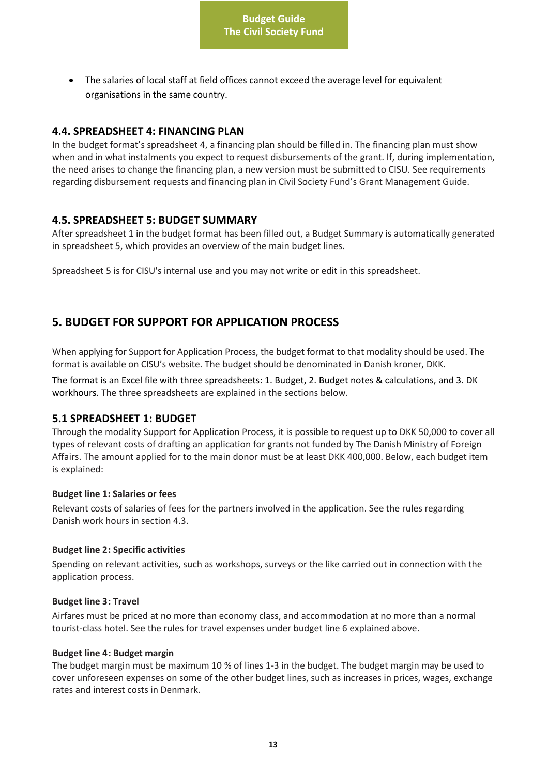The salaries of local staff at field offices cannot exceed the average level for equivalent organisations in the same country.

## <span id="page-13-0"></span>**4.4. SPREADSHEET 4: FINANCING PLAN**

In the budget format's spreadsheet 4, a financing plan should be filled in. The financing plan must show when and in what instalments you expect to request disbursements of the grant. If, during implementation, the need arises to change the financing plan, a new version must be submitted to CISU. See requirements regarding disbursement requests and financing plan in Civil Society Fund's Grant Management Guide.

## <span id="page-13-1"></span>**4.5. SPREADSHEET 5: BUDGET SUMMARY**

After spreadsheet 1 in the budget format has been filled out, a Budget Summary is automatically generated in spreadsheet 5, which provides an overview of the main budget lines.

Spreadsheet 5 is for CISU's internal use and you may not write or edit in this spreadsheet.

# <span id="page-13-2"></span>**5. BUDGET FOR SUPPORT FOR APPLICATION PROCESS**

When applying for Support for Application Process, the budget format to that modality should be used. The format is available on CISU's website. The budget should be denominated in Danish kroner, DKK.

The format is an Excel file with three spreadsheets: 1. Budget, 2. Budget notes & calculations, and 3. DK workhours. The three spreadsheets are explained in the sections below.

## <span id="page-13-3"></span>**5.1 SPREADSHEET 1: BUDGET**

Through the modality Support for Application Process, it is possible to request up to DKK 50,000 to cover all types of relevant costs of drafting an application for grants not funded by The Danish Ministry of Foreign Affairs. The amount applied for to the main donor must be at least DKK 400,000. Below, each budget item is explained:

#### **Budget line 1: Salaries or fees**

Relevant costs of salaries of fees for the partners involved in the application. See the rules regarding Danish work hours in section 4.3.

#### **Budget line 2: Specific activities**

Spending on relevant activities, such as workshops, surveys or the like carried out in connection with the application process.

#### **Budget line 3: Travel**

Airfares must be priced at no more than economy class, and accommodation at no more than a normal tourist-class hotel. See the rules for travel expenses under budget line 6 explained above.

#### **Budget line 4: Budget margin**

The budget margin must be maximum 10 % of lines 1-3 in the budget. The budget margin may be used to cover unforeseen expenses on some of the other budget lines, such as increases in prices, wages, exchange rates and interest costs in Denmark.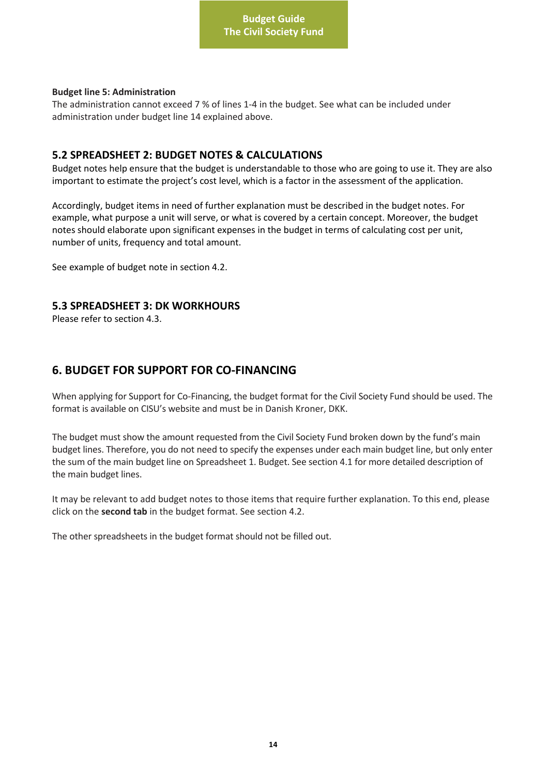#### **Budget line 5: Administration**

The administration cannot exceed 7 % of lines 1-4 in the budget. See what can be included under administration under budget line 14 explained above.

## <span id="page-14-0"></span>**5.2 SPREADSHEET 2: BUDGET NOTES & CALCULATIONS**

Budget notes help ensure that the budget is understandable to those who are going to use it. They are also important to estimate the project's cost level, which is a factor in the assessment of the application.

Accordingly, budget items in need of further explanation must be described in the budget notes. For example, what purpose a unit will serve, or what is covered by a certain concept. Moreover, the budget notes should elaborate upon significant expenses in the budget in terms of calculating cost per unit, number of units, frequency and total amount.

See example of budget note in section 4.2.

## <span id="page-14-1"></span>**5.3 SPREADSHEET 3: DK WORKHOURS**

Please refer to section 4.3.

# <span id="page-14-2"></span>**6. BUDGET FOR SUPPORT FOR CO-FINANCING**

When applying for Support for Co-Financing, the budget format for the Civil Society Fund should be used. The format is available on CISU's website and must be in Danish Kroner, DKK.

The budget must show the amount requested from the Civil Society Fund broken down by the fund's main budget lines. Therefore, you do not need to specify the expenses under each main budget line, but only enter the sum of the main budget line on Spreadsheet 1. Budget. See section 4.1 for more detailed description of the main budget lines.

It may be relevant to add budget notes to those items that require further explanation. To this end, please click on the **second tab** in the budget format. See section 4.2.

The other spreadsheets in the budget format should not be filled out.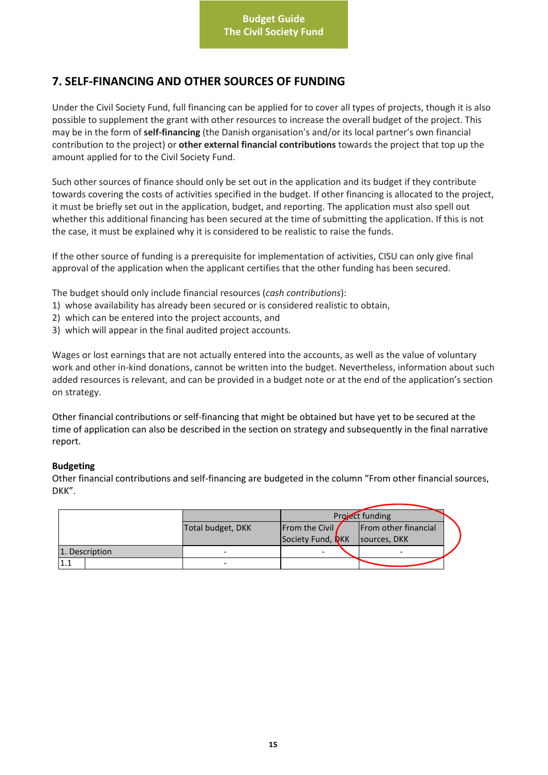# <span id="page-15-0"></span>**7. SELF-FINANCING AND OTHER SOURCES OF FUNDING**

Under the Civil Society Fund, full financing can be applied for to cover all types of projects, though it is also possible to supplement the grant with other resources to increase the overall budget of the project. This may be in the form of **self-financing** (the Danish organisation's and/or its local partner's own financial contribution to the project) or **other external financial contributions** towards the project that top up the amount applied for to the Civil Society Fund.

Such other sources of finance should only be set out in the application and its budget if they contribute towards covering the costs of activities specified in the budget. If other financing is allocated to the project, it must be briefly set out in the application, budget, and reporting. The application must also spell out whether this additional financing has been secured at the time of submitting the application. If this is not the case, it must be explained why it is considered to be realistic to raise the funds.

If the other source of funding is a prerequisite for implementation of activities, CISU can only give final approval of the application when the applicant certifies that the other funding has been secured.

The budget should only include financial resources (*cash contributions*):

- 1) whose availability has already been secured or is considered realistic to obtain,
- 2) which can be entered into the project accounts, and
- 3) which will appear in the final audited project accounts.

Wages or lost earnings that are not actually entered into the accounts, as well as the value of voluntary work and other in-kind donations, cannot be written into the budget. Nevertheless, information about such added resources is relevant, and can be provided in a budget note or at the end of the application's section on strategy.

Other financial contributions or self-financing that might be obtained but have yet to be secured at the time of application can also be described in the section on strategy and subsequently in the final narrative report.

#### **Budgeting**

Other financial contributions and self-financing are budgeted in the column "From other financial sources, DKK".

|                |                   |                   | Project funding      |
|----------------|-------------------|-------------------|----------------------|
|                | Total budget, DKK | From the Civil    | From other financial |
|                |                   | Society Fund, NKK | sources, DKK         |
| 1. Description |                   |                   |                      |
| 1.1            |                   |                   |                      |